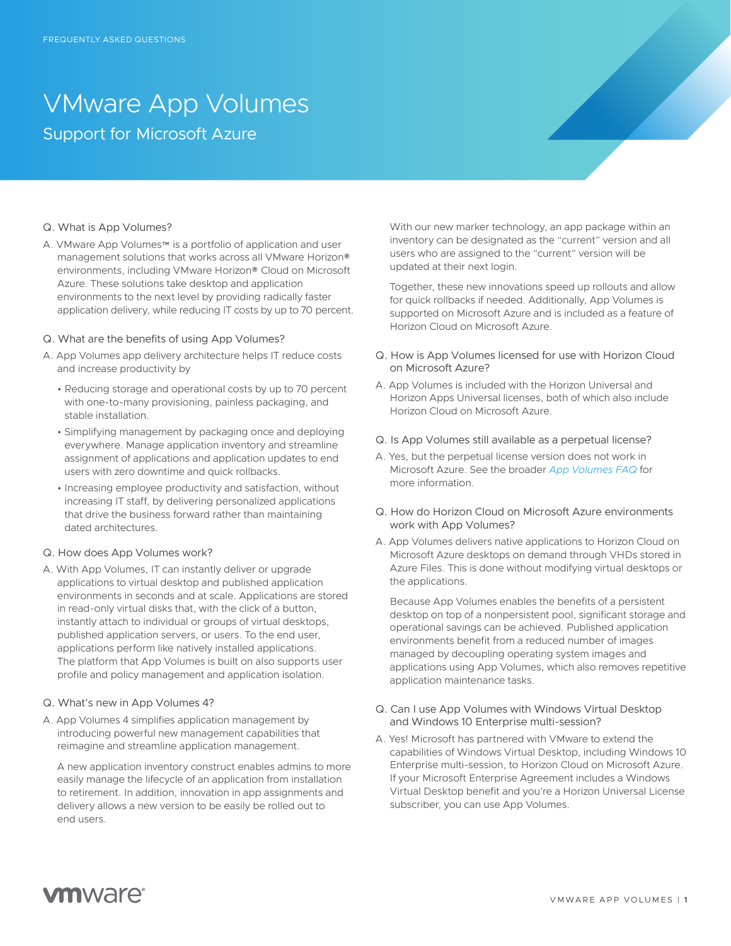# VMware App Volumes Support for Microsoft Azure

## Q. What is App Volumes?

A. VMware App Volumes™ is a portfolio of application and user management solutions that works across all VMware Horizon® environments, including VMware Horizon® Cloud on Microsoft Azure. These solutions take desktop and application environments to the next level by providing radically faster application delivery, while reducing IT costs by up to 70 percent.

## Q. What are the benefits of using App Volumes?

- A. App Volumes app delivery architecture helps IT reduce costs and increase productivity by
	- Reducing storage and operational costs by up to 70 percent with one-to-many provisioning, painless packaging, and stable installation.
	- Simplifying management by packaging once and deploying everywhere. Manage application inventory and streamline assignment of applications and application updates to end users with zero downtime and quick rollbacks.
	- Increasing employee productivity and satisfaction, without increasing IT staff, by delivering personalized applications that drive the business forward rather than maintaining dated architectures.

# Q. How does App Volumes work?

A. With App Volumes, IT can instantly deliver or upgrade applications to virtual desktop and published application environments in seconds and at scale. Applications are stored in read-only virtual disks that, with the click of a button, instantly attach to individual or groups of virtual desktops, published application servers, or users. To the end user, applications perform like natively installed applications. The platform that App Volumes is built on also supports user profile and policy management and application isolation.

## Q. What's new in App Volumes 4?

A. App Volumes 4 simplifies application management by introducing powerful new management capabilities that reimagine and streamline application management.

A new application inventory construct enables admins to more easily manage the lifecycle of an application from installation to retirement. In addition, innovation in app assignments and delivery allows a new version to be easily be rolled out to end users.

With our new marker technology, an app package within an inventory can be designated as the "current" version and all users who are assigned to the "current" version will be updated at their next login.

Together, these new innovations speed up rollouts and allow for quick rollbacks if needed. Additionally, App Volumes is supported on Microsoft Azure and is included as a feature of Horizon Cloud on Microsoft Azure.

- Q. How is App Volumes licensed for use with Horizon Cloud on Microsoft Azure?
- A. App Volumes is included with the Horizon Universal and Horizon Apps Universal licenses, both of which also include Horizon Cloud on Microsoft Azure.
- Q. Is App Volumes still available as a perpetual license?
- A. Yes, but the perpetual license version does not work in Microsoft Azure. See the broader *[App Volumes FAQ](https://www.vmware.com/content/dam/digitalmarketing/vmware/en/pdf/products/appvolumes/vmware-appvolumes-faq.pdf)* for more information.
- Q. How do Horizon Cloud on Microsoft Azure environments work with App Volumes?
- A. App Volumes delivers native applications to Horizon Cloud on Microsoft Azure desktops on demand through VHDs stored in Azure Files. This is done without modifying virtual desktops or the applications.

Because App Volumes enables the benefits of a persistent desktop on top of a nonpersistent pool, significant storage and operational savings can be achieved. Published application environments benefit from a reduced number of images managed by decoupling operating system images and applications using App Volumes, which also removes repetitive application maintenance tasks.

- Q. Can I use App Volumes with Windows Virtual Desktop and Windows 10 Enterprise multi-session?
- A. Yes! Microsoft has partnered with VMware to extend the capabilities of Windows Virtual Desktop, including Windows 10 Enterprise multi-session, to Horizon Cloud on Microsoft Azure. If your Microsoft Enterprise Agreement includes a Windows Virtual Desktop benefit and you're a Horizon Universal License subscriber, you can use App Volumes.

# **vm**ware<sup>®</sup>